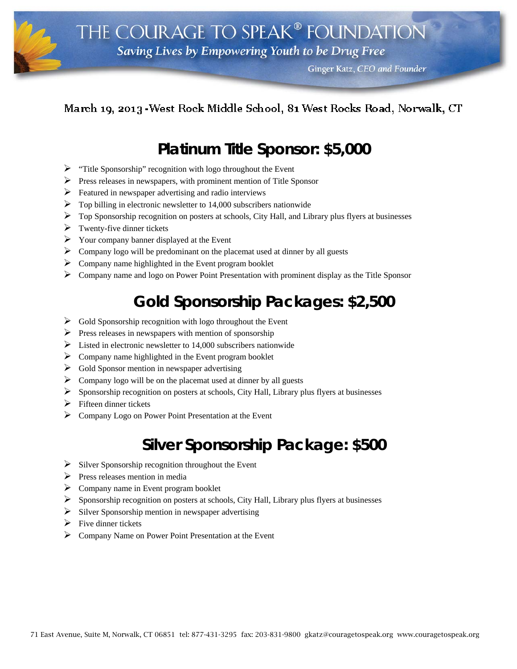Ginger Katz, CEO and Founder

## March 19, 2013 - West Rock Middle School, 81 West Rocks Road, Norwalk, CT

i

## **Platinum Title Sponsor: \$5,000**

- $\triangleright$  "Title Sponsorship" recognition with logo throughout the Event
- $\triangleright$  Press releases in newspapers, with prominent mention of Title Sponsor
- $\triangleright$  Featured in newspaper advertising and radio interviews
- $\triangleright$  Top billing in electronic newsletter to 14,000 subscribers nationwide
- $\triangleright$  Top Sponsorship recognition on posters at schools, City Hall, and Library plus flyers at businesses
- $\triangleright$  Twenty-five dinner tickets
- $\triangleright$  Your company banner displayed at the Event
- $\triangleright$  Company logo will be predominant on the placemat used at dinner by all guests
- $\triangleright$  Company name highlighted in the Event program booklet
- $\triangleright$  Company name and logo on Power Point Presentation with prominent display as the Title Sponsor

## **Gold Sponsorship Packages: \$2,500**

- $\triangleright$  Gold Sponsorship recognition with logo throughout the Event
- $\triangleright$  Press releases in newspapers with mention of sponsorship
- $\triangleright$  Listed in electronic newsletter to 14,000 subscribers nationwide
- $\triangleright$  Company name highlighted in the Event program booklet
- $\triangleright$  Gold Sponsor mention in newspaper advertising
- $\triangleright$  Company logo will be on the placemat used at dinner by all guests
- $\triangleright$  Sponsorship recognition on posters at schools, City Hall, Library plus flyers at businesses
- $\triangleright$  Fifteen dinner tickets
- $\triangleright$  Company Logo on Power Point Presentation at the Event

## **Silver Sponsorship Package: \$500**

- $\triangleright$  Silver Sponsorship recognition throughout the Event
- $\triangleright$  Press releases mention in media
- $\triangleright$  Company name in Event program booklet
- $\triangleright$  Sponsorship recognition on posters at schools, City Hall, Library plus flyers at businesses
- $\triangleright$  Silver Sponsorship mention in newspaper advertising
- $\triangleright$  Five dinner tickets
- Company Name on Power Point Presentation at the Event